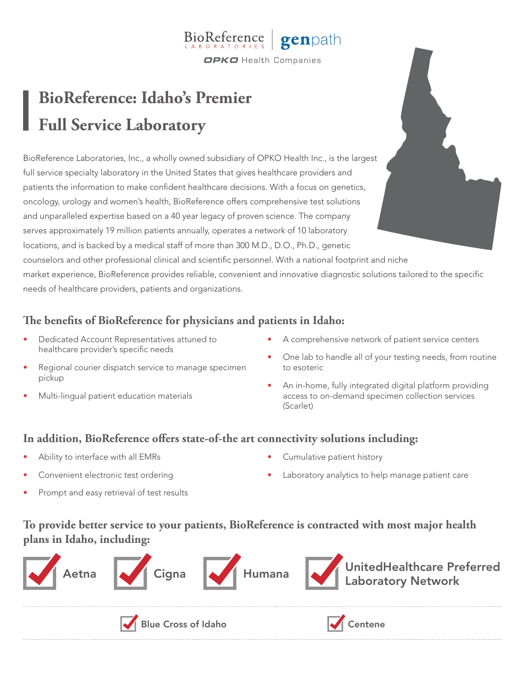#### genpath BioReference **OPKO** Health Companies

# **BioReference: Idaho's Premier Full Service Laboratory**

BioReference Laboratories, Inc., a wholly owned subsidiary of OPKO Health Inc., is the largest full service specialty laboratory in the United States that gives healthcare providers and patients the information to make confident healthcare decisions. With a focus on genetics, oncology, urology and women's health, BioReference offers comprehensive test solutions and unparalleled expertise based on a 40 year legacy of proven science. The company serves approximately 19 million patients annually, operates a network of 10 laboratory locations, and is backed by a medical staff of more than 300 M.D., D.O., Ph.D., genetic counselors and other professional clinical and scientific personnel. With a national footprint and niche market experience, BioReference provides reliable, convenient and innovative diagnostic solutions tailored to the specific needs of healthcare providers, patients and organizations.

# **The benefits of BioReference for physicians and patients in Idaho:**

- Dedicated Account Representatives attuned to healthcare provider's specific needs
- Regional courier dispatch service to manage specimen pickup
- Multi-lingual patient education materials
- A comprehensive network of patient service centers
- One lab to handle all of your testing needs, from routine to esoteric
- An in-home, fully integrated digital platform providing access to on-demand specimen collection services (Scarlet)

### **In addition, BioReference offers state-of-the art connectivity solutions including:**

- Ability to interface with all EMRs
- Convenient electronic test ordering
- Prompt and easy retrieval of test results
- Cumulative patient history
- Laboratory analytics to help manage patient care

# **To provide better service to your patients, BioReference is contracted with most major health plans in Idaho, including:**